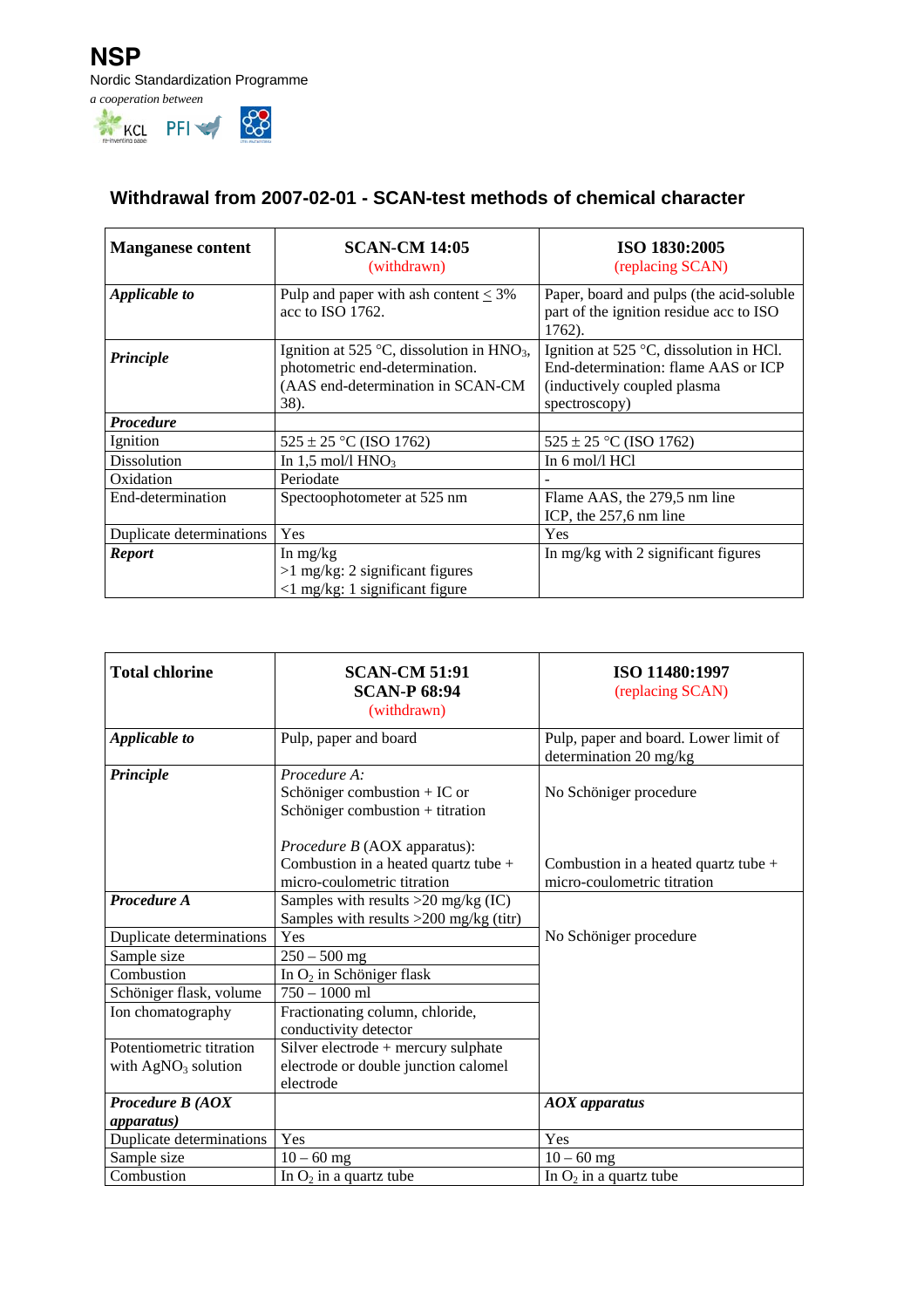

## **Withdrawal from 2007-02-01 - SCAN-test methods of chemical character**

| <b>Manganese content</b> | <b>SCAN-CM 14:05</b><br>(withdrawn)                                                                                        | ISO 1830:2005<br>(replacing SCAN)                                                                                                        |
|--------------------------|----------------------------------------------------------------------------------------------------------------------------|------------------------------------------------------------------------------------------------------------------------------------------|
| Applicable to            | Pulp and paper with ash content $\leq 3\%$<br>acc to ISO 1762.                                                             | Paper, board and pulps (the acid-soluble<br>part of the ignition residue acc to ISO<br>1762).                                            |
| Principle                | Ignition at 525 °C, dissolution in $HNO3$ ,<br>photometric end-determination.<br>(AAS end-determination in SCAN-CM<br>38). | Ignition at 525 $\degree$ C, dissolution in HCl.<br>End-determination: flame AAS or ICP<br>(inductively coupled plasma)<br>spectroscopy) |
| <b>Procedure</b>         |                                                                                                                            |                                                                                                                                          |
| Ignition                 | $525 \pm 25$ °C (ISO 1762)                                                                                                 | $525 \pm 25$ °C (ISO 1762)                                                                                                               |
| Dissolution              | In 1,5 mol/l $HNO3$                                                                                                        | In $6 \text{ mol}/1 \text{ HCl}$                                                                                                         |
| Oxidation                | Periodate                                                                                                                  |                                                                                                                                          |
| End-determination        | Spectoophotometer at 525 nm                                                                                                | Flame AAS, the 279,5 nm line<br>ICP, the 257,6 nm line                                                                                   |
| Duplicate determinations | Yes                                                                                                                        | Yes                                                                                                                                      |
| <b>Report</b>            | In $mg/kg$                                                                                                                 | In mg/kg with 2 significant figures                                                                                                      |
|                          | $>1$ mg/kg: 2 significant figures                                                                                          |                                                                                                                                          |
|                          | $\langle$ 1 mg/kg: 1 significant figure                                                                                    |                                                                                                                                          |

| <b>Total chlorine</b>                             | <b>SCAN-CM 51:91</b><br><b>SCAN-P 68:94</b><br>(withdrawn)                                                                | ISO 11480:1997<br>(replacing SCAN)                                    |
|---------------------------------------------------|---------------------------------------------------------------------------------------------------------------------------|-----------------------------------------------------------------------|
| Applicable to                                     | Pulp, paper and board                                                                                                     | Pulp, paper and board. Lower limit of<br>determination 20 mg/kg       |
| Principle                                         | Procedure A:<br>Schöniger combustion $+$ IC or<br>Schöniger combustion + titration<br><i>Procedure B</i> (AOX apparatus): | No Schöniger procedure                                                |
|                                                   | Combustion in a heated quartz tube +<br>micro-coulometric titration                                                       | Combustion in a heated quartz tube $+$<br>micro-coulometric titration |
| Procedure A                                       | Samples with results $>20$ mg/kg (IC)<br>Samples with results >200 mg/kg (titr)                                           |                                                                       |
| Duplicate determinations                          | Yes                                                                                                                       | No Schöniger procedure                                                |
| Sample size                                       | $250 - 500$ mg                                                                                                            |                                                                       |
| Combustion                                        | In O <sub>2</sub> in Schöniger flask                                                                                      |                                                                       |
| Schöniger flask, volume                           | $750 - 1000$ ml                                                                                                           |                                                                       |
| Ion chomatography                                 | Fractionating column, chloride,<br>conductivity detector                                                                  |                                                                       |
| Potentiometric titration<br>with $AgNO3$ solution | Silver electrode + mercury sulphate<br>electrode or double junction calomel<br>electrode                                  |                                                                       |
| Procedure B (AOX                                  |                                                                                                                           | $AOX$ apparatus                                                       |
| <i>apparatus</i> )                                |                                                                                                                           |                                                                       |
| Duplicate determinations                          | Yes                                                                                                                       | Yes                                                                   |
| Sample size                                       | $10 - 60$ mg                                                                                                              | $10 - 60$ mg                                                          |
| Combustion                                        | In $O_2$ in a quartz tube                                                                                                 | In $O_2$ in a quartz tube                                             |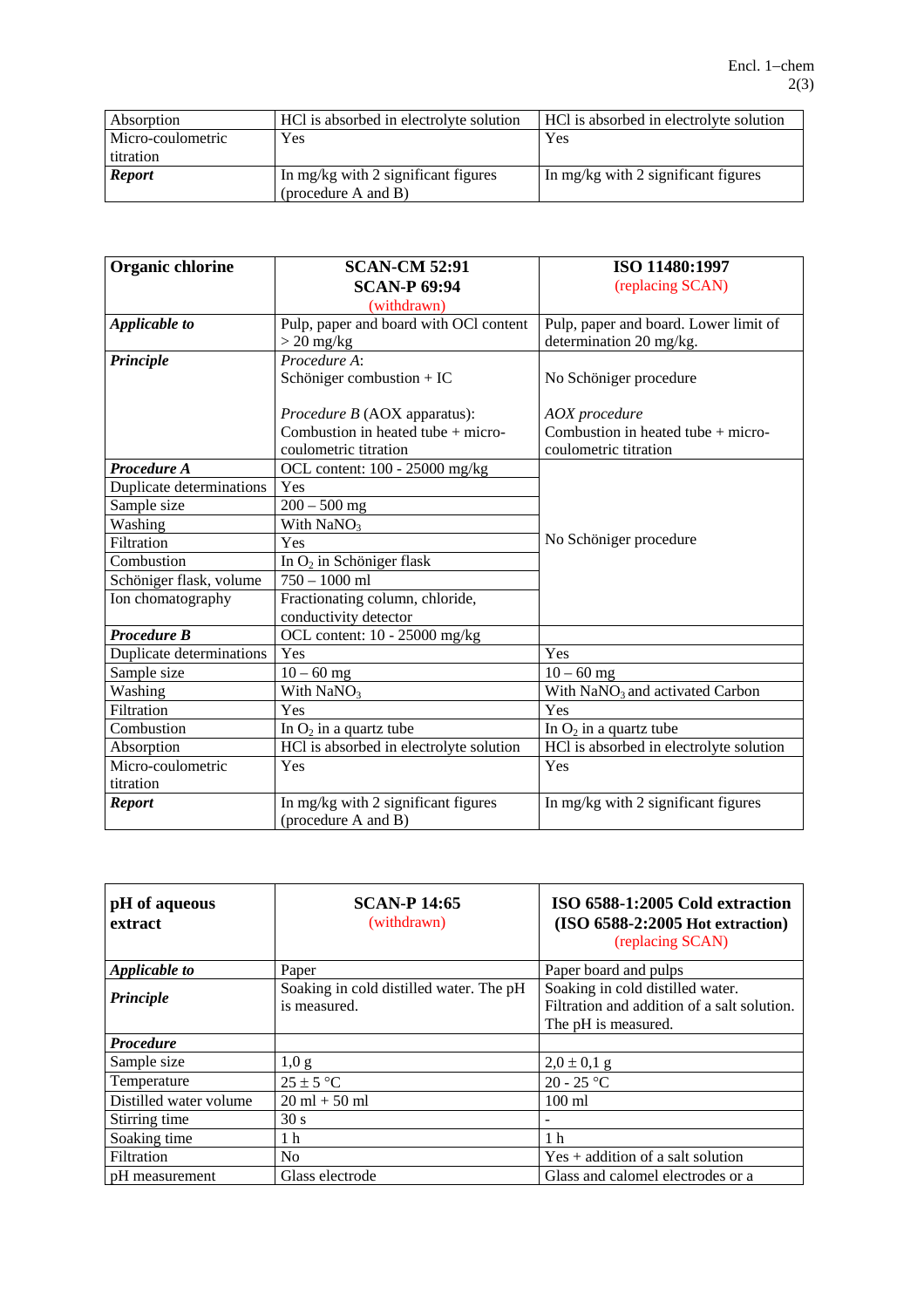| Absorption        | HCl is absorbed in electrolyte solution | HCl is absorbed in electrolyte solution |
|-------------------|-----------------------------------------|-----------------------------------------|
| Micro-coulometric | Yes                                     | Yes                                     |
| titration         |                                         |                                         |
| <b>Report</b>     | In mg/kg with 2 significant figures     | In mg/kg with 2 significant figures     |
|                   | (procedure A and B)                     |                                         |

| <b>Organic chlorine</b>  | <b>SCAN-CM 52:91</b>                    | ISO 11480:1997                              |
|--------------------------|-----------------------------------------|---------------------------------------------|
|                          | <b>SCAN-P 69:94</b>                     | (replacing SCAN)                            |
|                          | (withdrawn)                             |                                             |
| Applicable to            | Pulp, paper and board with OCl content  | Pulp, paper and board. Lower limit of       |
|                          | $> 20$ mg/kg                            | determination 20 mg/kg.                     |
| Principle                | Procedure A:                            |                                             |
|                          | Schöniger combustion + IC               | No Schöniger procedure                      |
|                          |                                         |                                             |
|                          | Procedure B (AOX apparatus):            | <b>AOX</b> procedure                        |
|                          | Combustion in heated tube + micro-      | Combustion in heated tube + micro-          |
|                          | coulometric titration                   | coulometric titration                       |
| Procedure A              | OCL content: 100 - 25000 mg/kg          |                                             |
| Duplicate determinations | Yes                                     |                                             |
| Sample size              | $200 - 500$ mg                          |                                             |
| Washing                  | With $NaNO3$                            |                                             |
| Filtration               | Yes                                     | No Schöniger procedure                      |
| Combustion               | In O <sub>2</sub> in Schöniger flask    |                                             |
| Schöniger flask, volume  | $750 - 1000$ ml                         |                                             |
| Ion chomatography        | Fractionating column, chloride,         |                                             |
|                          | conductivity detector                   |                                             |
| <b>Procedure B</b>       | OCL content: 10 - 25000 mg/kg           |                                             |
| Duplicate determinations | Yes                                     | Yes                                         |
| Sample size              | $10 - 60$ mg                            | $10 - 60$ mg                                |
| Washing                  | With $NaNO3$                            | With NaNO <sub>3</sub> and activated Carbon |
| Filtration               | Yes                                     | Yes                                         |
| Combustion               | In $O_2$ in a quartz tube               | In $O_2$ in a quartz tube                   |
| Absorption               | HCl is absorbed in electrolyte solution | HCl is absorbed in electrolyte solution     |
| Micro-coulometric        | Yes                                     | Yes                                         |
| titration                |                                         |                                             |
| <b>Report</b>            | In mg/kg with 2 significant figures     | In mg/kg with 2 significant figures         |
|                          | (procedure A and B)                     |                                             |

| pH of aqueous<br>extract | <b>SCAN-P 14:65</b><br>(withdrawn)                      | ISO 6588-1:2005 Cold extraction<br>$(ISO 6588-2:2005 Hot extraction)$<br>(replacing SCAN)              |
|--------------------------|---------------------------------------------------------|--------------------------------------------------------------------------------------------------------|
| Applicable to            | Paper                                                   | Paper board and pulps                                                                                  |
| Principle                | Soaking in cold distilled water. The pH<br>is measured. | Soaking in cold distilled water.<br>Filtration and addition of a salt solution.<br>The pH is measured. |
| <b>Procedure</b>         |                                                         |                                                                                                        |
| Sample size              | 1,0 g                                                   | $2,0 \pm 0,1$ g                                                                                        |
| Temperature              | $25 \pm 5$ °C                                           | $20 - 25$ °C                                                                                           |
| Distilled water volume   | $20 \text{ ml} + 50 \text{ ml}$                         | $100 \text{ ml}$                                                                                       |
| Stirring time            | 30 s                                                    |                                                                                                        |
| Soaking time             | 1 <sub>h</sub>                                          | 1 <sub>h</sub>                                                                                         |
| Filtration               | No.                                                     | $Yes + addition of a salt solution$                                                                    |
| pH measurement           | Glass electrode                                         | Glass and calomel electrodes or a                                                                      |